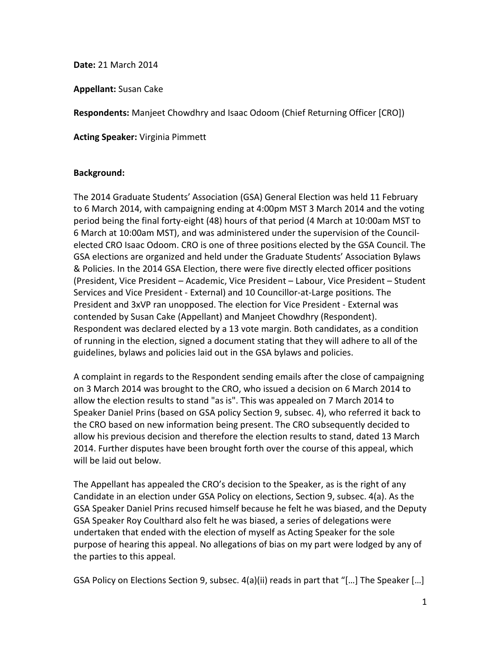**Date:** 21 March 2014

**Appellant:** Susan Cake

**Respondents:** Manjeet Chowdhry and Isaac Odoom (Chief Returning Officer [CRO])

**Acting Speaker:** Virginia Pimmett

#### **Background:**

The 2014 Graduate Students' Association (GSA) General Election was held 11 February to 6 March 2014, with campaigning ending at 4:00pm MST 3 March 2014 and the voting period being the final forty-eight (48) hours of that period (4 March at 10:00am MST to 6 March at 10:00am MST), and was administered under the supervision of the Councilelected CRO Isaac Odoom. CRO is one of three positions elected by the GSA Council. The GSA elections are organized and held under the Graduate Students' Association Bylaws & Policies. In the 2014 GSA Election, there were five directly elected officer positions (President, Vice President – Academic, Vice President – Labour, Vice President – Student Services and Vice President - External) and 10 Councillor-at-Large positions. The President and 3xVP ran unopposed. The election for Vice President - External was contended by Susan Cake (Appellant) and Manjeet Chowdhry (Respondent). Respondent was declared elected by a 13 vote margin. Both candidates, as a condition of running in the election, signed a document stating that they will adhere to all of the guidelines, bylaws and policies laid out in the GSA bylaws and policies.

A complaint in regards to the Respondent sending emails after the close of campaigning on 3 March 2014 was brought to the CRO, who issued a decision on 6 March 2014 to allow the election results to stand "as is". This was appealed on 7 March 2014 to Speaker Daniel Prins (based on GSA policy Section 9, subsec. 4), who referred it back to the CRO based on new information being present. The CRO subsequently decided to allow his previous decision and therefore the election results to stand, dated 13 March 2014. Further disputes have been brought forth over the course of this appeal, which will be laid out below.

The Appellant has appealed the CRO's decision to the Speaker, as is the right of any Candidate in an election under GSA Policy on elections, Section 9, subsec. 4(a). As the GSA Speaker Daniel Prins recused himself because he felt he was biased, and the Deputy GSA Speaker Roy Coulthard also felt he was biased, a series of delegations were undertaken that ended with the election of myself as Acting Speaker for the sole purpose of hearing this appeal. No allegations of bias on my part were lodged by any of the parties to this appeal.

GSA Policy on Elections Section 9, subsec. 4(a)(ii) reads in part that "[…] The Speaker […]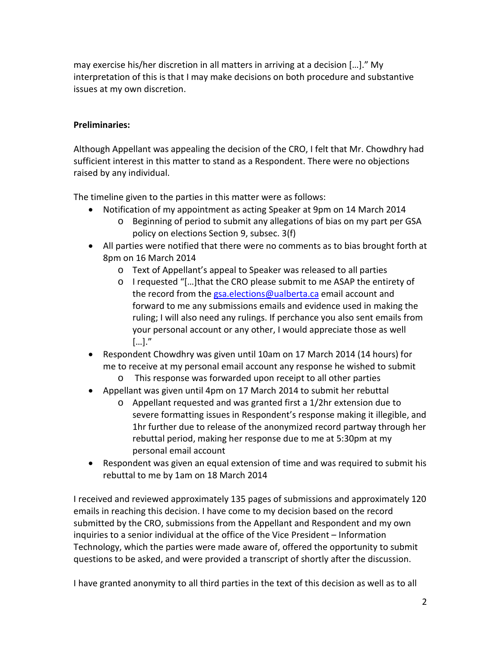may exercise his/her discretion in all matters in arriving at a decision […]." My interpretation of this is that I may make decisions on both procedure and substantive issues at my own discretion.

### **Preliminaries:**

Although Appellant was appealing the decision of the CRO, I felt that Mr. Chowdhry had sufficient interest in this matter to stand as a Respondent. There were no objections raised by any individual.

The timeline given to the parties in this matter were as follows:

- Notification of my appointment as acting Speaker at 9pm on 14 March 2014
	- o Beginning of period to submit any allegations of bias on my part per GSA policy on elections Section 9, subsec. 3(f)
- All parties were notified that there were no comments as to bias brought forth at 8pm on 16 March 2014
	- o Text of Appellant's appeal to Speaker was released to all parties
	- o I requested "[…]that the CRO please submit to me ASAP the entirety of the record from the [gsa.elections@ualberta.ca](mailto:gsa.elections@ualberta.ca) email account and forward to me any submissions emails and evidence used in making the ruling; I will also need any rulings. If perchance you also sent emails from your personal account or any other, I would appreciate those as well […]."
- Respondent Chowdhry was given until 10am on 17 March 2014 (14 hours) for me to receive at my personal email account any response he wished to submit
	- o This response was forwarded upon receipt to all other parties
- Appellant was given until 4pm on 17 March 2014 to submit her rebuttal
	- o Appellant requested and was granted first a 1/2hr extension due to severe formatting issues in Respondent's response making it illegible, and 1hr further due to release of the anonymized record partway through her rebuttal period, making her response due to me at 5:30pm at my personal email account
- Respondent was given an equal extension of time and was required to submit his rebuttal to me by 1am on 18 March 2014

I received and reviewed approximately 135 pages of submissions and approximately 120 emails in reaching this decision. I have come to my decision based on the record submitted by the CRO, submissions from the Appellant and Respondent and my own inquiries to a senior individual at the office of the Vice President – Information Technology, which the parties were made aware of, offered the opportunity to submit questions to be asked, and were provided a transcript of shortly after the discussion.

I have granted anonymity to all third parties in the text of this decision as well as to all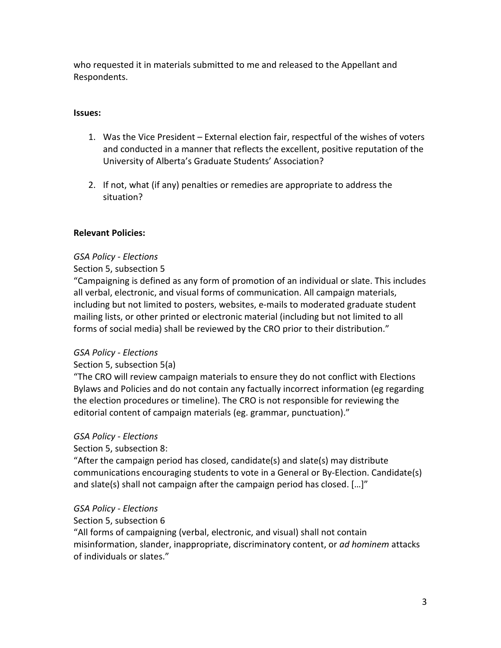who requested it in materials submitted to me and released to the Appellant and Respondents.

### **Issues:**

- 1. Was the Vice President External election fair, respectful of the wishes of voters and conducted in a manner that reflects the excellent, positive reputation of the University of Alberta's Graduate Students' Association?
- 2. If not, what (if any) penalties or remedies are appropriate to address the situation?

### **Relevant Policies:**

### *GSA Policy - Elections*

### Section 5, subsection 5

"Campaigning is defined as any form of promotion of an individual or slate. This includes all verbal, electronic, and visual forms of communication. All campaign materials, including but not limited to posters, websites, e-mails to moderated graduate student mailing lists, or other printed or electronic material (including but not limited to all forms of social media) shall be reviewed by the CRO prior to their distribution."

### *GSA Policy - Elections*

### Section 5, subsection 5(a)

"The CRO will review campaign materials to ensure they do not conflict with Elections Bylaws and Policies and do not contain any factually incorrect information (eg regarding the election procedures or timeline). The CRO is not responsible for reviewing the editorial content of campaign materials (eg. grammar, punctuation)."

### *GSA Policy - Elections*

### Section 5, subsection 8:

"After the campaign period has closed, candidate(s) and slate(s) may distribute communications encouraging students to vote in a General or By-Election. Candidate(s) and slate(s) shall not campaign after the campaign period has closed. […]"

### *GSA Policy - Elections*

### Section 5, subsection 6

"All forms of campaigning (verbal, electronic, and visual) shall not contain misinformation, slander, inappropriate, discriminatory content, or *ad hominem* attacks of individuals or slates."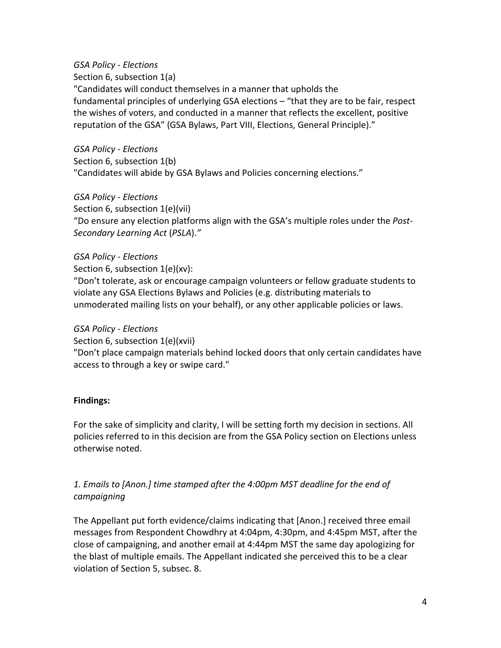### *GSA Policy - Elections*

Section 6, subsection 1(a) "Candidates will conduct themselves in a manner that upholds the fundamental principles of underlying GSA elections – "that they are to be fair, respect the wishes of voters, and conducted in a manner that reflects the excellent, positive reputation of the GSA" (GSA Bylaws, Part VIII, Elections, General Principle)."

*GSA Policy - Elections* Section 6, subsection 1(b) "Candidates will abide by GSA Bylaws and Policies concerning elections."

## *GSA Policy - Elections*

Section 6, subsection 1(e)(vii) "Do ensure any election platforms align with the GSA's multiple roles under the *Post-Secondary Learning Act* (*PSLA*).*"*

## *GSA Policy - Elections*

Section 6, subsection 1(e)(xv):

"Don't tolerate, ask or encourage campaign volunteers or fellow graduate students to violate any GSA Elections Bylaws and Policies (e.g. distributing materials to unmoderated mailing lists on your behalf), or any other applicable policies or laws.

### *GSA Policy - Elections*

Section 6, subsection 1(e)(xvii)

"Don't place campaign materials behind locked doors that only certain candidates have access to through a key or swipe card."

# **Findings:**

For the sake of simplicity and clarity, I will be setting forth my decision in sections. All policies referred to in this decision are from the GSA Policy section on Elections unless otherwise noted.

# *1. Emails to [Anon.] time stamped after the 4:00pm MST deadline for the end of campaigning*

The Appellant put forth evidence/claims indicating that [Anon.] received three email messages from Respondent Chowdhry at 4:04pm, 4:30pm, and 4:45pm MST, after the close of campaigning, and another email at 4:44pm MST the same day apologizing for the blast of multiple emails. The Appellant indicated she perceived this to be a clear violation of Section 5, subsec. 8.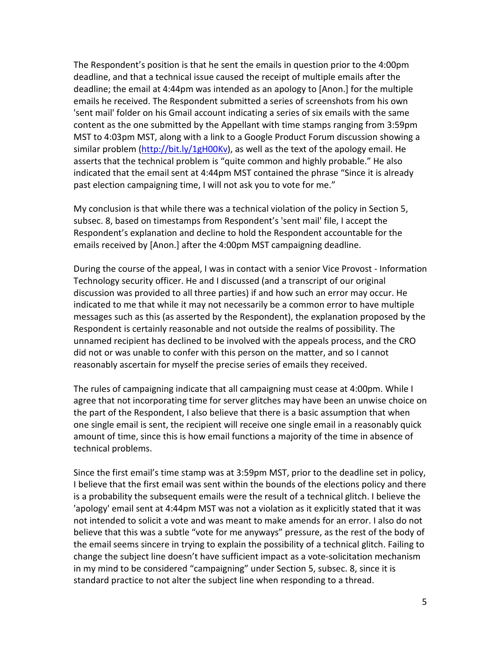The Respondent's position is that he sent the emails in question prior to the 4:00pm deadline, and that a technical issue caused the receipt of multiple emails after the deadline; the email at 4:44pm was intended as an apology to [Anon.] for the multiple emails he received. The Respondent submitted a series of screenshots from his own 'sent mail' folder on his Gmail account indicating a series of six emails with the same content as the one submitted by the Appellant with time stamps ranging from 3:59pm MST to 4:03pm MST, along with a link to a Google Product Forum discussion showing a similar problem [\(http://bit.ly/1gH00Kv\)](http://bit.ly/1gH00Kv), as well as the text of the apology email. He asserts that the technical problem is "quite common and highly probable." He also indicated that the email sent at 4:44pm MST contained the phrase "Since it is already past election campaigning time, I will not ask you to vote for me."

My conclusion is that while there was a technical violation of the policy in Section 5, subsec. 8, based on timestamps from Respondent's 'sent mail' file, I accept the Respondent's explanation and decline to hold the Respondent accountable for the emails received by [Anon.] after the 4:00pm MST campaigning deadline.

During the course of the appeal, I was in contact with a senior Vice Provost - Information Technology security officer. He and I discussed (and a transcript of our original discussion was provided to all three parties) if and how such an error may occur. He indicated to me that while it may not necessarily be a common error to have multiple messages such as this (as asserted by the Respondent), the explanation proposed by the Respondent is certainly reasonable and not outside the realms of possibility. The unnamed recipient has declined to be involved with the appeals process, and the CRO did not or was unable to confer with this person on the matter, and so I cannot reasonably ascertain for myself the precise series of emails they received.

The rules of campaigning indicate that all campaigning must cease at 4:00pm. While I agree that not incorporating time for server glitches may have been an unwise choice on the part of the Respondent, I also believe that there is a basic assumption that when one single email is sent, the recipient will receive one single email in a reasonably quick amount of time, since this is how email functions a majority of the time in absence of technical problems.

Since the first email's time stamp was at 3:59pm MST, prior to the deadline set in policy, I believe that the first email was sent within the bounds of the elections policy and there is a probability the subsequent emails were the result of a technical glitch. I believe the 'apology' email sent at 4:44pm MST was not a violation as it explicitly stated that it was not intended to solicit a vote and was meant to make amends for an error. I also do not believe that this was a subtle "vote for me anyways" pressure, as the rest of the body of the email seems sincere in trying to explain the possibility of a technical glitch. Failing to change the subject line doesn't have sufficient impact as a vote-solicitation mechanism in my mind to be considered "campaigning" under Section 5, subsec. 8, since it is standard practice to not alter the subject line when responding to a thread.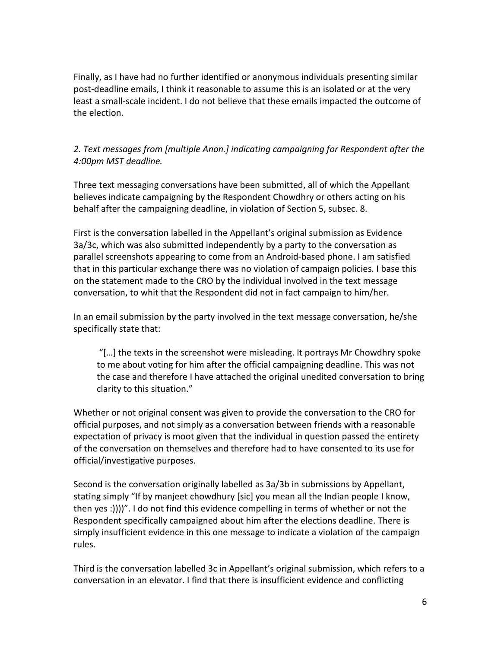Finally, as I have had no further identified or anonymous individuals presenting similar post-deadline emails, I think it reasonable to assume this is an isolated or at the very least a small-scale incident. I do not believe that these emails impacted the outcome of the election.

# *2. Text messages from [multiple Anon.] indicating campaigning for Respondent after the 4:00pm MST deadline.*

Three text messaging conversations have been submitted, all of which the Appellant believes indicate campaigning by the Respondent Chowdhry or others acting on his behalf after the campaigning deadline, in violation of Section 5, subsec. 8.

First is the conversation labelled in the Appellant's original submission as Evidence 3a/3c, which was also submitted independently by a party to the conversation as parallel screenshots appearing to come from an Android-based phone. I am satisfied that in this particular exchange there was no violation of campaign policies. I base this on the statement made to the CRO by the individual involved in the text message conversation, to whit that the Respondent did not in fact campaign to him/her.

In an email submission by the party involved in the text message conversation, he/she specifically state that:

"[…] the texts in the screenshot were misleading. It portrays Mr Chowdhry spoke to me about voting for him after the official campaigning deadline. This was not the case and therefore I have attached the original unedited conversation to bring clarity to this situation."

Whether or not original consent was given to provide the conversation to the CRO for official purposes, and not simply as a conversation between friends with a reasonable expectation of privacy is moot given that the individual in question passed the entirety of the conversation on themselves and therefore had to have consented to its use for official/investigative purposes.

Second is the conversation originally labelled as 3a/3b in submissions by Appellant, stating simply "If by manjeet chowdhury [sic] you mean all the Indian people I know, then yes :))))". I do not find this evidence compelling in terms of whether or not the Respondent specifically campaigned about him after the elections deadline. There is simply insufficient evidence in this one message to indicate a violation of the campaign rules.

Third is the conversation labelled 3c in Appellant's original submission, which refers to a conversation in an elevator. I find that there is insufficient evidence and conflicting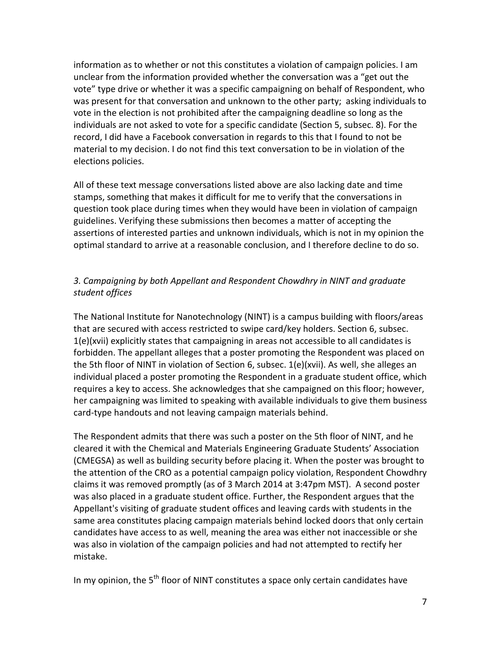information as to whether or not this constitutes a violation of campaign policies. I am unclear from the information provided whether the conversation was a "get out the vote" type drive or whether it was a specific campaigning on behalf of Respondent, who was present for that conversation and unknown to the other party; asking individuals to vote in the election is not prohibited after the campaigning deadline so long as the individuals are not asked to vote for a specific candidate (Section 5, subsec. 8). For the record, I did have a Facebook conversation in regards to this that I found to not be material to my decision. I do not find this text conversation to be in violation of the elections policies.

All of these text message conversations listed above are also lacking date and time stamps, something that makes it difficult for me to verify that the conversations in question took place during times when they would have been in violation of campaign guidelines. Verifying these submissions then becomes a matter of accepting the assertions of interested parties and unknown individuals, which is not in my opinion the optimal standard to arrive at a reasonable conclusion, and I therefore decline to do so.

## *3. Campaigning by both Appellant and Respondent Chowdhry in NINT and graduate student offices*

The National Institute for Nanotechnology (NINT) is a campus building with floors/areas that are secured with access restricted to swipe card/key holders. Section 6, subsec. 1(e)(xvii) explicitly states that campaigning in areas not accessible to all candidates is forbidden. The appellant alleges that a poster promoting the Respondent was placed on the 5th floor of NINT in violation of Section 6, subsec. 1(e)(xvii). As well, she alleges an individual placed a poster promoting the Respondent in a graduate student office, which requires a key to access. She acknowledges that she campaigned on this floor; however, her campaigning was limited to speaking with available individuals to give them business card-type handouts and not leaving campaign materials behind.

The Respondent admits that there was such a poster on the 5th floor of NINT, and he cleared it with the Chemical and Materials Engineering Graduate Students' Association (CMEGSA) as well as building security before placing it. When the poster was brought to the attention of the CRO as a potential campaign policy violation, Respondent Chowdhry claims it was removed promptly (as of 3 March 2014 at 3:47pm MST). A second poster was also placed in a graduate student office. Further, the Respondent argues that the Appellant's visiting of graduate student offices and leaving cards with students in the same area constitutes placing campaign materials behind locked doors that only certain candidates have access to as well, meaning the area was either not inaccessible or she was also in violation of the campaign policies and had not attempted to rectify her mistake.

In my opinion, the  $5<sup>th</sup>$  floor of NINT constitutes a space only certain candidates have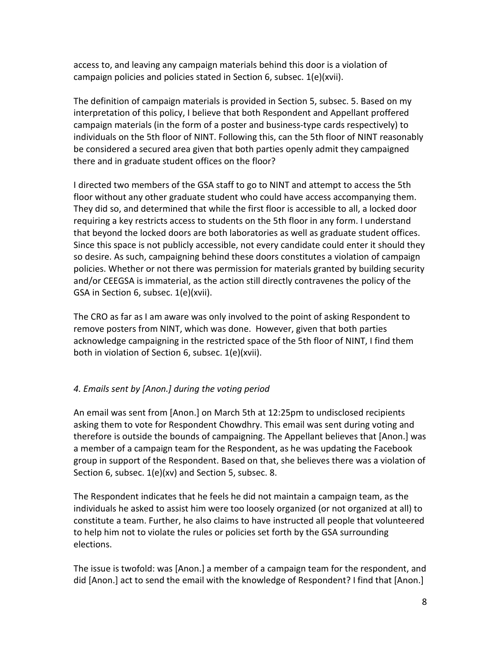access to, and leaving any campaign materials behind this door is a violation of campaign policies and policies stated in Section 6, subsec. 1(e)(xvii).

The definition of campaign materials is provided in Section 5, subsec. 5. Based on my interpretation of this policy, I believe that both Respondent and Appellant proffered campaign materials (in the form of a poster and business-type cards respectively) to individuals on the 5th floor of NINT. Following this, can the 5th floor of NINT reasonably be considered a secured area given that both parties openly admit they campaigned there and in graduate student offices on the floor?

I directed two members of the GSA staff to go to NINT and attempt to access the 5th floor without any other graduate student who could have access accompanying them. They did so, and determined that while the first floor is accessible to all, a locked door requiring a key restricts access to students on the 5th floor in any form. I understand that beyond the locked doors are both laboratories as well as graduate student offices. Since this space is not publicly accessible, not every candidate could enter it should they so desire. As such, campaigning behind these doors constitutes a violation of campaign policies. Whether or not there was permission for materials granted by building security and/or CEEGSA is immaterial, as the action still directly contravenes the policy of the GSA in Section 6, subsec. 1(e)(xvii).

The CRO as far as I am aware was only involved to the point of asking Respondent to remove posters from NINT, which was done. However, given that both parties acknowledge campaigning in the restricted space of the 5th floor of NINT, I find them both in violation of Section 6, subsec. 1(e)(xvii).

# *4. Emails sent by [Anon.] during the voting period*

An email was sent from [Anon.] on March 5th at 12:25pm to undisclosed recipients asking them to vote for Respondent Chowdhry. This email was sent during voting and therefore is outside the bounds of campaigning. The Appellant believes that [Anon.] was a member of a campaign team for the Respondent, as he was updating the Facebook group in support of the Respondent. Based on that, she believes there was a violation of Section 6, subsec. 1(e)(xv) and Section 5, subsec. 8.

The Respondent indicates that he feels he did not maintain a campaign team, as the individuals he asked to assist him were too loosely organized (or not organized at all) to constitute a team. Further, he also claims to have instructed all people that volunteered to help him not to violate the rules or policies set forth by the GSA surrounding elections.

The issue is twofold: was [Anon.] a member of a campaign team for the respondent, and did [Anon.] act to send the email with the knowledge of Respondent? I find that [Anon.]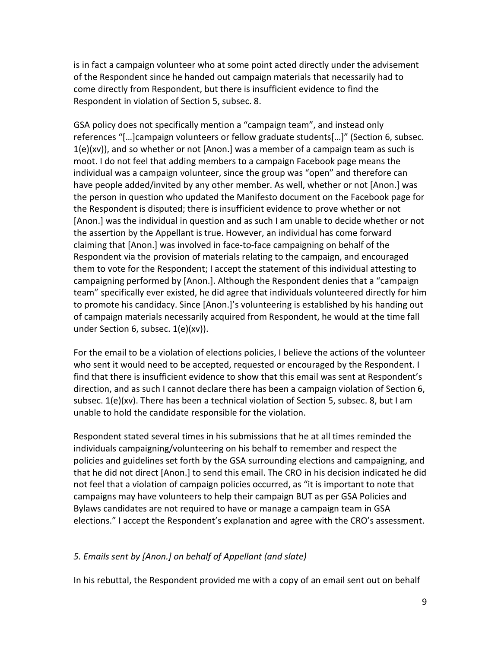is in fact a campaign volunteer who at some point acted directly under the advisement of the Respondent since he handed out campaign materials that necessarily had to come directly from Respondent, but there is insufficient evidence to find the Respondent in violation of Section 5, subsec. 8.

GSA policy does not specifically mention a "campaign team", and instead only references "[…]campaign volunteers or fellow graduate students[…]" (Section 6, subsec.  $1(e)(xv)$ , and so whether or not [Anon.] was a member of a campaign team as such is moot. I do not feel that adding members to a campaign Facebook page means the individual was a campaign volunteer, since the group was "open" and therefore can have people added/invited by any other member. As well, whether or not [Anon.] was the person in question who updated the Manifesto document on the Facebook page for the Respondent is disputed; there is insufficient evidence to prove whether or not [Anon.] was the individual in question and as such I am unable to decide whether or not the assertion by the Appellant is true. However, an individual has come forward claiming that [Anon.] was involved in face-to-face campaigning on behalf of the Respondent via the provision of materials relating to the campaign, and encouraged them to vote for the Respondent; I accept the statement of this individual attesting to campaigning performed by [Anon.]. Although the Respondent denies that a "campaign team" specifically ever existed, he did agree that individuals volunteered directly for him to promote his candidacy. Since [Anon.]'s volunteering is established by his handing out of campaign materials necessarily acquired from Respondent, he would at the time fall under Section 6, subsec. 1(e)(xv)).

For the email to be a violation of elections policies, I believe the actions of the volunteer who sent it would need to be accepted, requested or encouraged by the Respondent. I find that there is insufficient evidence to show that this email was sent at Respondent's direction, and as such I cannot declare there has been a campaign violation of Section 6, subsec. 1(e)(xv). There has been a technical violation of Section 5, subsec. 8, but I am unable to hold the candidate responsible for the violation.

Respondent stated several times in his submissions that he at all times reminded the individuals campaigning/volunteering on his behalf to remember and respect the policies and guidelines set forth by the GSA surrounding elections and campaigning, and that he did not direct [Anon.] to send this email. The CRO in his decision indicated he did not feel that a violation of campaign policies occurred, as "it is important to note that campaigns may have volunteers to help their campaign BUT as per GSA Policies and Bylaws candidates are not required to have or manage a campaign team in GSA elections." I accept the Respondent's explanation and agree with the CRO's assessment.

#### *5. Emails sent by [Anon.] on behalf of Appellant (and slate)*

In his rebuttal, the Respondent provided me with a copy of an email sent out on behalf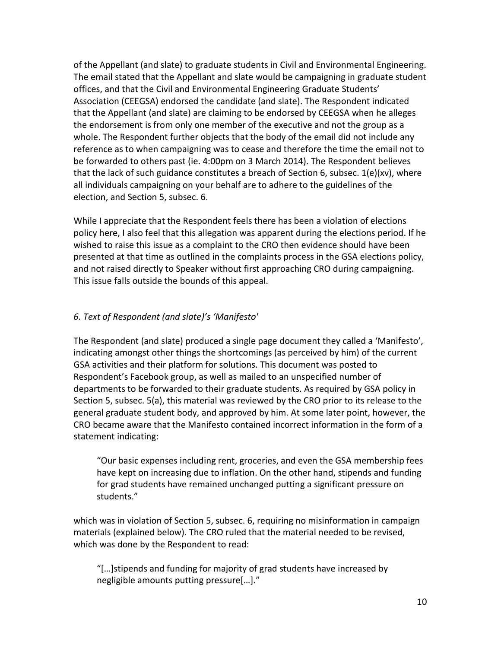of the Appellant (and slate) to graduate students in Civil and Environmental Engineering. The email stated that the Appellant and slate would be campaigning in graduate student offices, and that the Civil and Environmental Engineering Graduate Students' Association (CEEGSA) endorsed the candidate (and slate). The Respondent indicated that the Appellant (and slate) are claiming to be endorsed by CEEGSA when he alleges the endorsement is from only one member of the executive and not the group as a whole. The Respondent further objects that the body of the email did not include any reference as to when campaigning was to cease and therefore the time the email not to be forwarded to others past (ie. 4:00pm on 3 March 2014). The Respondent believes that the lack of such guidance constitutes a breach of Section 6, subsec. 1(e)(xv), where all individuals campaigning on your behalf are to adhere to the guidelines of the election, and Section 5, subsec. 6.

While I appreciate that the Respondent feels there has been a violation of elections policy here, I also feel that this allegation was apparent during the elections period. If he wished to raise this issue as a complaint to the CRO then evidence should have been presented at that time as outlined in the complaints process in the GSA elections policy, and not raised directly to Speaker without first approaching CRO during campaigning. This issue falls outside the bounds of this appeal.

### *6. Text of Respondent (and slate)'s 'Manifesto'*

The Respondent (and slate) produced a single page document they called a 'Manifesto', indicating amongst other things the shortcomings (as perceived by him) of the current GSA activities and their platform for solutions. This document was posted to Respondent's Facebook group, as well as mailed to an unspecified number of departments to be forwarded to their graduate students. As required by GSA policy in Section 5, subsec. 5(a), this material was reviewed by the CRO prior to its release to the general graduate student body, and approved by him. At some later point, however, the CRO became aware that the Manifesto contained incorrect information in the form of a statement indicating:

"Our basic expenses including rent, groceries, and even the GSA membership fees have kept on increasing due to inflation. On the other hand, stipends and funding for grad students have remained unchanged putting a significant pressure on students."

which was in violation of Section 5, subsec. 6, requiring no misinformation in campaign materials (explained below). The CRO ruled that the material needed to be revised, which was done by the Respondent to read:

"[…]stipends and funding for majority of grad students have increased by negligible amounts putting pressure[…]."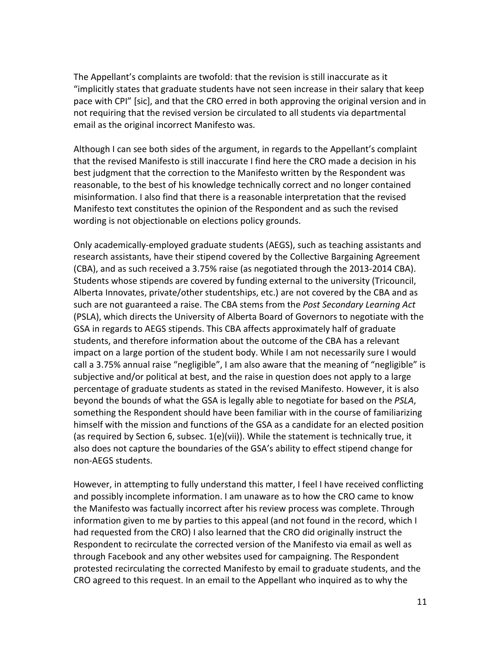The Appellant's complaints are twofold: that the revision is still inaccurate as it "implicitly states that graduate students have not seen increase in their salary that keep pace with CPI" [sic], and that the CRO erred in both approving the original version and in not requiring that the revised version be circulated to all students via departmental email as the original incorrect Manifesto was.

Although I can see both sides of the argument, in regards to the Appellant's complaint that the revised Manifesto is still inaccurate I find here the CRO made a decision in his best judgment that the correction to the Manifesto written by the Respondent was reasonable, to the best of his knowledge technically correct and no longer contained misinformation. I also find that there is a reasonable interpretation that the revised Manifesto text constitutes the opinion of the Respondent and as such the revised wording is not objectionable on elections policy grounds.

Only academically-employed graduate students (AEGS), such as teaching assistants and research assistants, have their stipend covered by the Collective Bargaining Agreement (CBA), and as such received a 3.75% raise (as negotiated through the 2013-2014 CBA). Students whose stipends are covered by funding external to the university (Tricouncil, Alberta Innovates, private/other studentships, etc.) are not covered by the CBA and as such are not guaranteed a raise. The CBA stems from the *Post Secondary Learning Act* (PSLA), which directs the University of Alberta Board of Governors to negotiate with the GSA in regards to AEGS stipends. This CBA affects approximately half of graduate students, and therefore information about the outcome of the CBA has a relevant impact on a large portion of the student body. While I am not necessarily sure I would call a 3.75% annual raise "negligible", I am also aware that the meaning of "negligible" is subjective and/or political at best, and the raise in question does not apply to a large percentage of graduate students as stated in the revised Manifesto. However, it is also beyond the bounds of what the GSA is legally able to negotiate for based on the *PSLA*, something the Respondent should have been familiar with in the course of familiarizing himself with the mission and functions of the GSA as a candidate for an elected position (as required by Section 6, subsec. 1(e)(vii)). While the statement is technically true, it also does not capture the boundaries of the GSA's ability to effect stipend change for non-AEGS students.

However, in attempting to fully understand this matter, I feel I have received conflicting and possibly incomplete information. I am unaware as to how the CRO came to know the Manifesto was factually incorrect after his review process was complete. Through information given to me by parties to this appeal (and not found in the record, which I had requested from the CRO) I also learned that the CRO did originally instruct the Respondent to recirculate the corrected version of the Manifesto via email as well as through Facebook and any other websites used for campaigning. The Respondent protested recirculating the corrected Manifesto by email to graduate students, and the CRO agreed to this request. In an email to the Appellant who inquired as to why the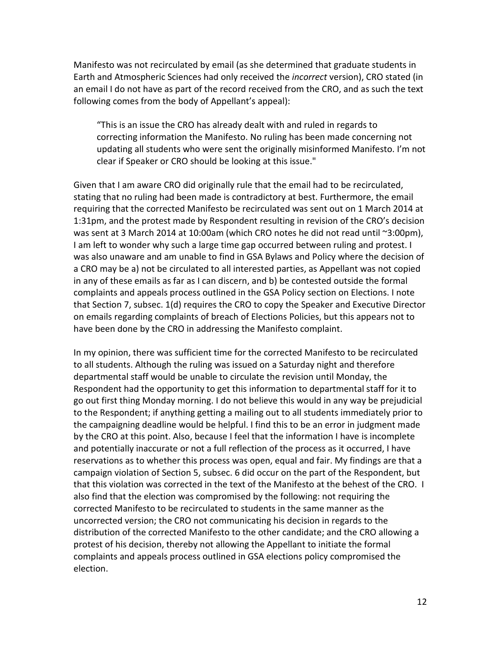Manifesto was not recirculated by email (as she determined that graduate students in Earth and Atmospheric Sciences had only received the *incorrect* version), CRO stated (in an email I do not have as part of the record received from the CRO, and as such the text following comes from the body of Appellant's appeal):

"This is an issue the CRO has already dealt with and ruled in regards to correcting information the Manifesto. No ruling has been made concerning not updating all students who were sent the originally misinformed Manifesto. I'm not clear if Speaker or CRO should be looking at this issue."

Given that I am aware CRO did originally rule that the email had to be recirculated, stating that no ruling had been made is contradictory at best. Furthermore, the email requiring that the corrected Manifesto be recirculated was sent out on 1 March 2014 at 1:31pm, and the protest made by Respondent resulting in revision of the CRO's decision was sent at 3 March 2014 at 10:00am (which CRO notes he did not read until ~3:00pm), I am left to wonder why such a large time gap occurred between ruling and protest. I was also unaware and am unable to find in GSA Bylaws and Policy where the decision of a CRO may be a) not be circulated to all interested parties, as Appellant was not copied in any of these emails as far as I can discern, and b) be contested outside the formal complaints and appeals process outlined in the GSA Policy section on Elections. I note that Section 7, subsec. 1(d) requires the CRO to copy the Speaker and Executive Director on emails regarding complaints of breach of Elections Policies, but this appears not to have been done by the CRO in addressing the Manifesto complaint.

In my opinion, there was sufficient time for the corrected Manifesto to be recirculated to all students. Although the ruling was issued on a Saturday night and therefore departmental staff would be unable to circulate the revision until Monday, the Respondent had the opportunity to get this information to departmental staff for it to go out first thing Monday morning. I do not believe this would in any way be prejudicial to the Respondent; if anything getting a mailing out to all students immediately prior to the campaigning deadline would be helpful. I find this to be an error in judgment made by the CRO at this point. Also, because I feel that the information I have is incomplete and potentially inaccurate or not a full reflection of the process as it occurred, I have reservations as to whether this process was open, equal and fair. My findings are that a campaign violation of Section 5, subsec. 6 did occur on the part of the Respondent, but that this violation was corrected in the text of the Manifesto at the behest of the CRO. I also find that the election was compromised by the following: not requiring the corrected Manifesto to be recirculated to students in the same manner as the uncorrected version; the CRO not communicating his decision in regards to the distribution of the corrected Manifesto to the other candidate; and the CRO allowing a protest of his decision, thereby not allowing the Appellant to initiate the formal complaints and appeals process outlined in GSA elections policy compromised the election.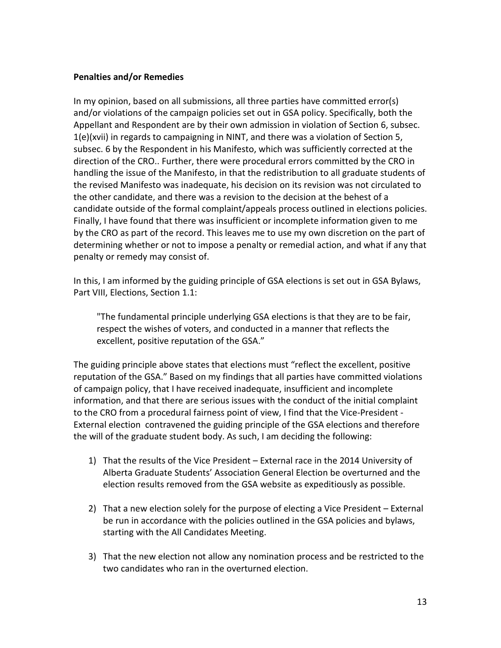#### **Penalties and/or Remedies**

In my opinion, based on all submissions, all three parties have committed error(s) and/or violations of the campaign policies set out in GSA policy. Specifically, both the Appellant and Respondent are by their own admission in violation of Section 6, subsec. 1(e)(xvii) in regards to campaigning in NINT, and there was a violation of Section 5, subsec. 6 by the Respondent in his Manifesto, which was sufficiently corrected at the direction of the CRO.. Further, there were procedural errors committed by the CRO in handling the issue of the Manifesto, in that the redistribution to all graduate students of the revised Manifesto was inadequate, his decision on its revision was not circulated to the other candidate, and there was a revision to the decision at the behest of a candidate outside of the formal complaint/appeals process outlined in elections policies. Finally, I have found that there was insufficient or incomplete information given to me by the CRO as part of the record. This leaves me to use my own discretion on the part of determining whether or not to impose a penalty or remedial action, and what if any that penalty or remedy may consist of.

In this, I am informed by the guiding principle of GSA elections is set out in GSA Bylaws, Part VIII, Elections, Section 1.1:

"The fundamental principle underlying GSA elections is that they are to be fair, respect the wishes of voters, and conducted in a manner that reflects the excellent, positive reputation of the GSA."

The guiding principle above states that elections must "reflect the excellent, positive reputation of the GSA." Based on my findings that all parties have committed violations of campaign policy, that I have received inadequate, insufficient and incomplete information, and that there are serious issues with the conduct of the initial complaint to the CRO from a procedural fairness point of view, I find that the Vice-President - External election contravened the guiding principle of the GSA elections and therefore the will of the graduate student body. As such, I am deciding the following:

- 1) That the results of the Vice President External race in the 2014 University of Alberta Graduate Students' Association General Election be overturned and the election results removed from the GSA website as expeditiously as possible.
- 2) That a new election solely for the purpose of electing a Vice President External be run in accordance with the policies outlined in the GSA policies and bylaws, starting with the All Candidates Meeting.
- 3) That the new election not allow any nomination process and be restricted to the two candidates who ran in the overturned election.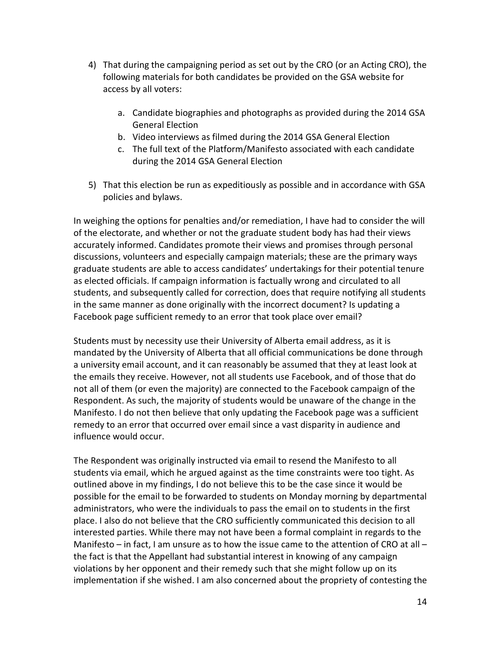- 4) That during the campaigning period as set out by the CRO (or an Acting CRO), the following materials for both candidates be provided on the GSA website for access by all voters:
	- a. Candidate biographies and photographs as provided during the 2014 GSA General Election
	- b. Video interviews as filmed during the 2014 GSA General Election
	- c. The full text of the Platform/Manifesto associated with each candidate during the 2014 GSA General Election
- 5) That this election be run as expeditiously as possible and in accordance with GSA policies and bylaws.

In weighing the options for penalties and/or remediation, I have had to consider the will of the electorate, and whether or not the graduate student body has had their views accurately informed. Candidates promote their views and promises through personal discussions, volunteers and especially campaign materials; these are the primary ways graduate students are able to access candidates' undertakings for their potential tenure as elected officials. If campaign information is factually wrong and circulated to all students, and subsequently called for correction, does that require notifying all students in the same manner as done originally with the incorrect document? Is updating a Facebook page sufficient remedy to an error that took place over email?

Students must by necessity use their University of Alberta email address, as it is mandated by the University of Alberta that all official communications be done through a university email account, and it can reasonably be assumed that they at least look at the emails they receive. However, not all students use Facebook, and of those that do not all of them (or even the majority) are connected to the Facebook campaign of the Respondent. As such, the majority of students would be unaware of the change in the Manifesto. I do not then believe that only updating the Facebook page was a sufficient remedy to an error that occurred over email since a vast disparity in audience and influence would occur.

The Respondent was originally instructed via email to resend the Manifesto to all students via email, which he argued against as the time constraints were too tight. As outlined above in my findings, I do not believe this to be the case since it would be possible for the email to be forwarded to students on Monday morning by departmental administrators, who were the individuals to pass the email on to students in the first place. I also do not believe that the CRO sufficiently communicated this decision to all interested parties. While there may not have been a formal complaint in regards to the Manifesto – in fact, I am unsure as to how the issue came to the attention of CRO at all – the fact is that the Appellant had substantial interest in knowing of any campaign violations by her opponent and their remedy such that she might follow up on its implementation if she wished. I am also concerned about the propriety of contesting the